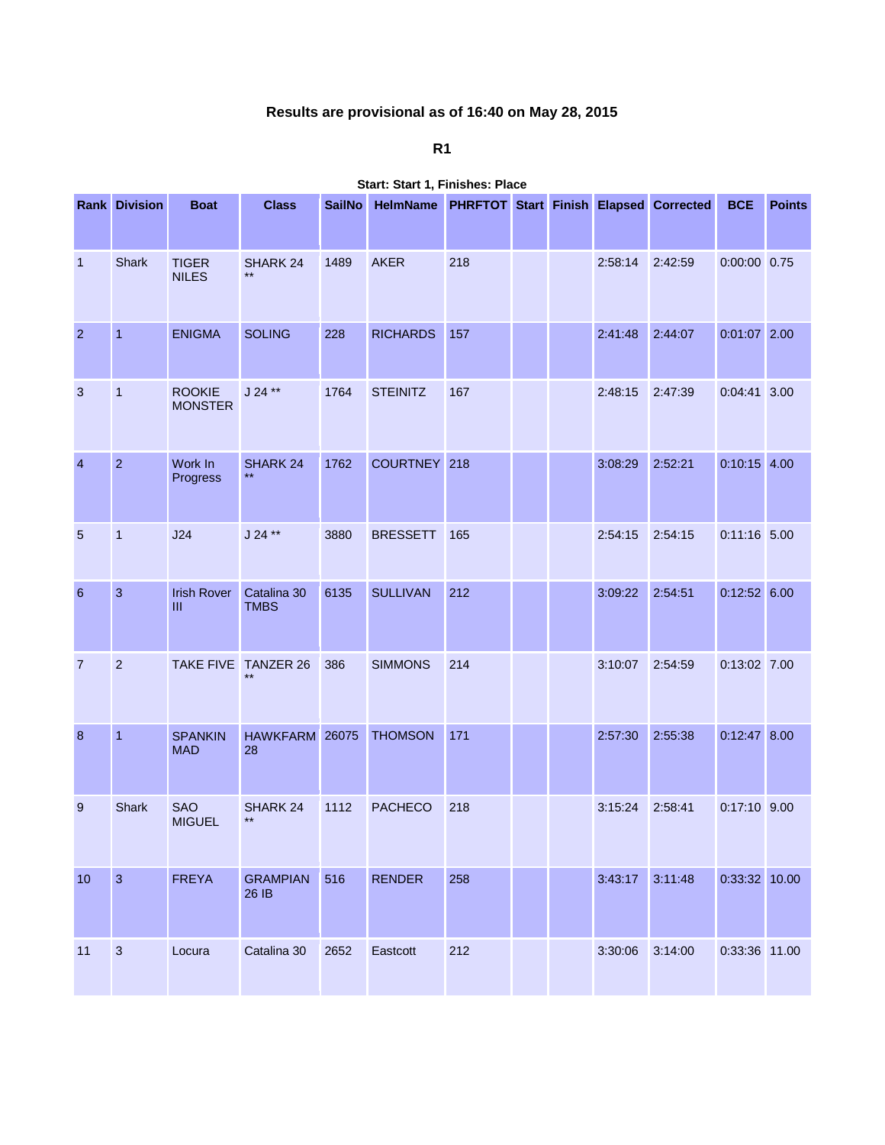## **Results are provisional as of 16:40 on May 28, 2015**

**R1**

|                  | <b>Rank Division</b> | <b>Boat</b>                     | <b>Class</b>                | <b>SailNo</b> | HelmName PHRFTOT Start Finish Elapsed Corrected |     |  |         |         | <b>BCE</b>     | <b>Points</b> |
|------------------|----------------------|---------------------------------|-----------------------------|---------------|-------------------------------------------------|-----|--|---------|---------|----------------|---------------|
| $\mathbf{1}$     | Shark                | <b>TIGER</b><br><b>NILES</b>    | <b>SHARK 24</b><br>$***$    | 1489          | <b>AKER</b>                                     | 218 |  | 2:58:14 | 2:42:59 | $0:00:00$ 0.75 |               |
| $\overline{2}$   | $\overline{1}$       | <b>ENIGMA</b>                   | <b>SOLING</b>               | 228           | <b>RICHARDS</b>                                 | 157 |  | 2:41:48 | 2:44:07 | 0:01:07 2.00   |               |
| 3                | $\overline{1}$       | <b>ROOKIE</b><br><b>MONSTER</b> | $J 24$ **                   | 1764          | <b>STEINITZ</b>                                 | 167 |  | 2:48:15 | 2:47:39 | $0:04:41$ 3.00 |               |
| $\overline{4}$   | $\overline{2}$       | Work In<br>Progress             | SHARK 24                    | 1762          | COURTNEY 218                                    |     |  | 3:08:29 | 2:52:21 | $0:10:15$ 4.00 |               |
| $\sqrt{5}$       | $\mathbf{1}$         | J24                             | $J 24$ **                   | 3880          | <b>BRESSETT</b>                                 | 165 |  | 2:54:15 | 2:54:15 | 0:11:16 5.00   |               |
| $6\phantom{1}6$  | $\mathbf{3}$         | <b>Irish Rover</b><br>Ш         | Catalina 30<br><b>TMBS</b>  | 6135          | <b>SULLIVAN</b>                                 | 212 |  | 3:09:22 | 2:54:51 | $0:12:52$ 6.00 |               |
| $\overline{7}$   | $\overline{2}$       |                                 | TAKE FIVE TANZER 26<br>$**$ | 386           | <b>SIMMONS</b>                                  | 214 |  | 3:10:07 | 2:54:59 | 0:13:02 7.00   |               |
| $\boldsymbol{8}$ | $\overline{1}$       | <b>SPANKIN</b><br><b>MAD</b>    | HAWKFARM 26075<br>28        |               | <b>THOMSON</b>                                  | 171 |  | 2:57:30 | 2:55:38 | $0:12:47$ 8.00 |               |
| 9                | <b>Shark</b>         | <b>SAO</b><br><b>MIGUEL</b>     | SHARK 24<br>$***$           | 1112          | <b>PACHECO</b>                                  | 218 |  | 3:15:24 | 2:58:41 | $0:17:10$ 9.00 |               |
| 10               | $\overline{3}$       | <b>FREYA</b>                    | <b>GRAMPIAN</b><br>26 IB    | 516           | <b>RENDER</b>                                   | 258 |  | 3:43:17 | 3:11:48 | 0:33:32 10.00  |               |
| 11               | $\sqrt{3}$           | Locura                          | Catalina 30                 | 2652          | Eastcott                                        | 212 |  | 3:30:06 | 3:14:00 | 0:33:36 11.00  |               |

**Start: Start 1, Finishes: Place**